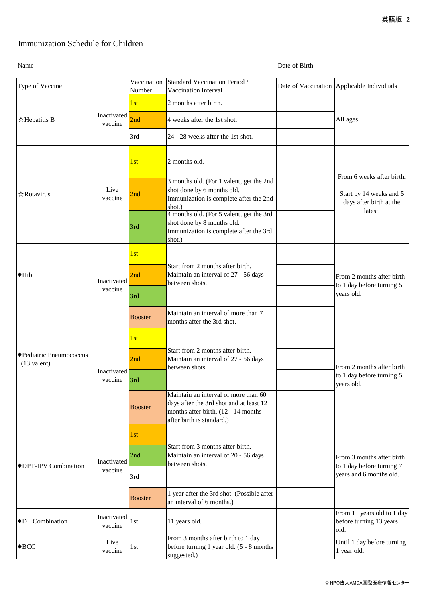## Immunization Schedule for Children

Name Date of Birth

| Type of Vaccine                          |                        | Vaccination    | Standard Vaccination Period /                                                                                                                       |  | Date of Vaccination Applicable Individuals                                                 |
|------------------------------------------|------------------------|----------------|-----------------------------------------------------------------------------------------------------------------------------------------------------|--|--------------------------------------------------------------------------------------------|
|                                          |                        | Number         | Vaccination Interval                                                                                                                                |  |                                                                                            |
| ☆Hepatitis B                             | Inactivated<br>vaccine | 1st            | 2 months after birth.                                                                                                                               |  | All ages.                                                                                  |
|                                          |                        | 2nd            | 4 weeks after the 1st shot.                                                                                                                         |  |                                                                                            |
|                                          |                        | 3rd            | 24 - 28 weeks after the 1st shot.                                                                                                                   |  |                                                                                            |
| ☆Rotavirus                               | Live<br>vaccine        | 1st            | 2 months old.                                                                                                                                       |  | From 6 weeks after birth.<br>Start by 14 weeks and 5<br>days after birth at the<br>latest. |
|                                          |                        | 2nd            | 3 months old. (For 1 valent, get the 2nd<br>shot done by 6 months old.<br>Immunization is complete after the 2nd<br>shot.)                          |  |                                                                                            |
|                                          |                        | 3rd            | 4 months old. (For 5 valent, get the 3rd<br>shot done by 8 months old.<br>Immunization is complete after the 3rd<br>shot.)                          |  |                                                                                            |
| $\blacklozenge$ Hib                      | Inactivated<br>vaccine | 1st            |                                                                                                                                                     |  | From 2 months after birth<br>to 1 day before turning 5<br>years old.                       |
|                                          |                        | 2nd            | Start from 2 months after birth.<br>Maintain an interval of 27 - 56 days<br>between shots.                                                          |  |                                                                                            |
|                                          |                        | 3rd            |                                                                                                                                                     |  |                                                                                            |
|                                          |                        | <b>Booster</b> | Maintain an interval of more than 7<br>months after the 3rd shot.                                                                                   |  |                                                                                            |
| ◆Pediatric Pneumococcus<br>$(13$ valent) | Inactivated<br>vaccine | 1st            | Start from 2 months after birth.<br>Maintain an interval of 27 - 56 days<br>between shots.                                                          |  | From 2 months after birth<br>to 1 day before turning 5<br>years old.                       |
|                                          |                        | 2nd            |                                                                                                                                                     |  |                                                                                            |
|                                          |                        | 3rd            |                                                                                                                                                     |  |                                                                                            |
|                                          |                        | <b>Booster</b> | Maintain an interval of more than 60<br>days after the 3rd shot and at least 12<br>months after birth. (12 - 14 months<br>after birth is standard.) |  |                                                                                            |
| ♦ DPT-IPV Combination                    | Inactivated<br>vaccine | 1st            |                                                                                                                                                     |  | From 3 months after birth<br>to 1 day before turning 7<br>years and 6 months old.          |
|                                          |                        | 2nd            | Start from 3 months after birth.<br>Maintain an interval of 20 - 56 days<br>between shots.                                                          |  |                                                                                            |
|                                          |                        | 3rd            |                                                                                                                                                     |  |                                                                                            |
|                                          |                        | <b>Booster</b> | 1 year after the 3rd shot. (Possible after<br>an interval of 6 months.)                                                                             |  |                                                                                            |
| ◆DT Combination                          | Inactivated<br>vaccine | 1st            | 11 years old.                                                                                                                                       |  | From 11 years old to 1 day<br>before turning 13 years<br>old.                              |
| $\blacklozenge$ BCG                      | Live<br>vaccine        | 1st            | From 3 months after birth to 1 day<br>before turning 1 year old. (5 - 8 months<br>suggested.)                                                       |  | Until 1 day before turning<br>1 year old.                                                  |